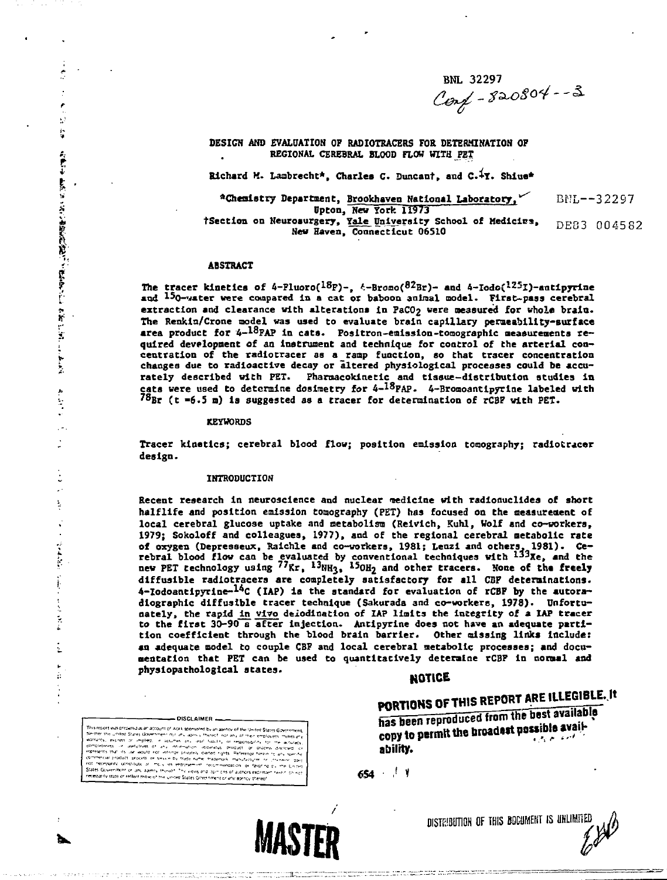BNL 32297<br>Conf - 820804 - - 3

**DESIGN AND EVALUATION OF RADIOTRACERS FOE DETERMINATION OF REGIONAL CEREBRAL BLOOD FLOW WITH PET**

**Richard M. Lambrecht\*. Charles C. Duncant, and t. Shlue\***

**^Chemistry Department, Brookhaven National Laboratory.^ Upton,"New York 11973 tSection on Neurosurgery, Yale University School of Kedldcs, New Haven, Connecticut 06510** BNL—32297 DE83 004582

## **ABSTRACT**

*i-*

i<br>Sa

 $\ddot{a}$ 

 $\overline{a}$ 

Ř

医子宫神经节

Ĭ ŧ  $\frac{1}{2}$ į

÷.

× g) i,

> **The tracer kinetics of 4-Fluoro(<sup>18</sup>F)-, £-Bromo(82Br)- and 4-Iodo{<sup>125</sup>I)-antipyrine and <sup>15</sup>O-v»tec were compared Is a cat oz baboon anlraal oodel. First-pass cerebral** extraction and clearance with alterations in PaCO<sub>2</sub> were measured for whole brain. **The Renkla/Crone model was used to evaluate brain capillary permeability-surface area product for 4-1&FAP In cats. Posltron-emlsslon-tomographic measurements required development of an instrument and technique for control of the arterial concentration of the radlotracer as a ramp function, so that tracer concentration changes due to radioactive decay or altered physiological processes could be accurately described with PET. Pharoacoklnetlc and tissue—distribution studies in** cats were used to determine dosimetry for 4-<sup>18</sup>PAP. 4-Bromoantipyrine labeled with<br><sup>78</sup>Br (t =6.5 m) is suggested as a tracer for determination of rCBP with PET.

## **KEYWORDS**

**Tracer kinetics; cerebral blood flow; position emission tomography; radlotracer design.**

### **INTRODUCTION**

The stock was translated at account of way to overselve a standard of the three forms on the State State Government out also a material of the state state management of the state of the state of the state of the state of t

This report was presented as an account of work sponsored by an apincy of the United States Gover

- DISCLAIMER

Recent research in neuroscience and nuclear medicine with radionuclides of short **halflife and position emission tomography (PET) has focused on the measureaent of local cerebral glucose uptake and metabolism (Reivlch, Kuhl, Wolf and co-workers, 1979; Sokoloff and colleagues, 1977), and of the regional cerebral metabolic rate of oxygen (Depresseux, Raichle and co-workers, 1981j Lenzl and others. 1931}. Cerebral blood flow can be evaluated by conventional techniques with <sup>133</sup> Xe, and the new PET technology using <sup>77</sup>Kr, <sup>13</sup>NH3, l5OH2 and other tracers. Sone of the freely** diffusible radiotracers are completely satisfactory for all CBF determinations. **4-Iodoantlpyrine-<sup>14</sup>C (IAP) is the standard for evaluation of rCBF by the autoradiographic diffusible tracer technique (Sakurada and co-workers, 1978). Unfortunately, the rapid ^n vivo deiodinatlon of IAP Halts the integrity of a IAP tracer to the firat 30-90 a after injection. Antipyrine does not have an adequate partition coefficient through the blood brain barrier. Other missing links include: an adequate model to couple CBF and local cerebral metabolic processes; and documentation that PET can be used to quantitatively determine rCBF in normal and physlopathological states. \_**

# **HOTLCE**

**PORTIONS OF THIS REPORT ARE ILLEGIBLE. It has been reproduced from the best available copy to permit the 6toa ? ability**

**« S4 • .< y**



DISTRIBUTION OF THIS BOCUMENT IS UHLINiifl)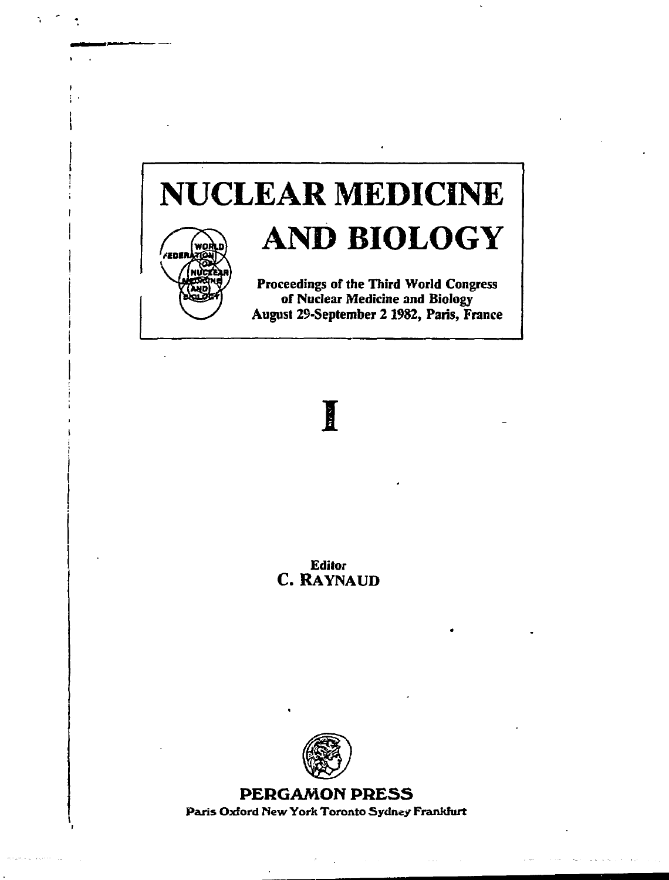# **NUCLEAR MEDICINE AND BIOLOGY**



**Proceedings of the Third World Congress of Nuclear Medicine and Biology August 29-September 21982, Paris, France**

# I

**Editor** C. RAYNAUD



**PERGAMON PRESS Paris Oxford New York Toronto Sydney Frankfurt**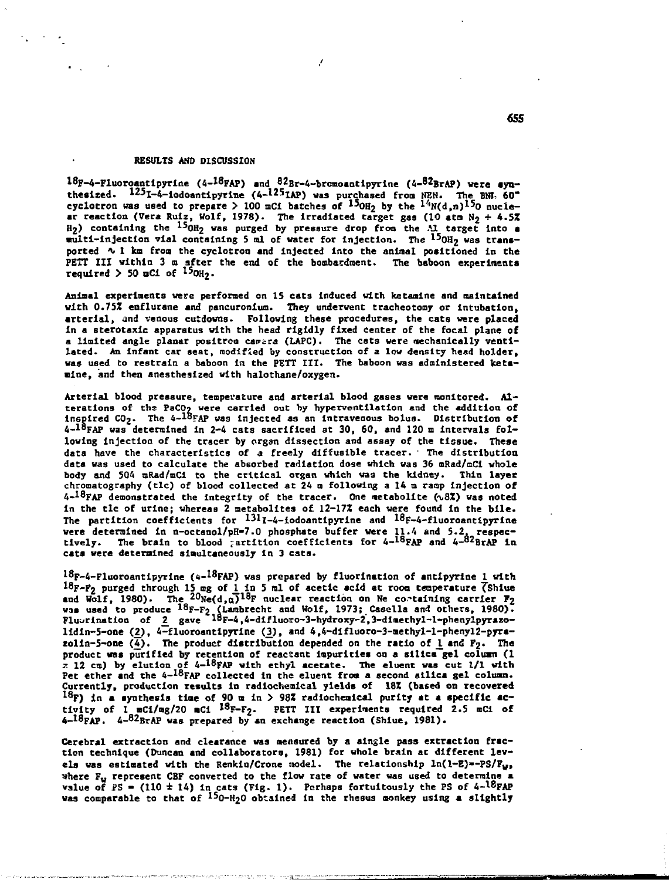## **RESULTS AND DISCUSSION**

**<sup>18</sup>F-4-Fluoroantlpyrine (4-<sup>18</sup>FAP) and <sup>82</sup>Br-4-brcmoantipyrine (4-<sup>82</sup>BrAP) were synthesized. <sup>12</sup>5l-4-iodoantipyrine (4-12sIAP) was purchased from HEH. The BN1, 60"** cyclotron was used to prepare  $>100$  mCi batches of  $150H_2$  by the  $1^4N(d,n)1^50$  nucle**ar reaction (Vera Ruiz, Wolf, 1978). The irradiated target gas (10 atn N2 + 4.5Z H2) containing the ^^0H2 was purged by pressure drop from the Al target into a multi-injection vial containing 5 ml of water for injection. The l5OH2 was transported % 1 km from the cyclotron and Injected into the aninal positioned in the PETT III within 3 a after the end of the bombardment. The baboon experiments required > 50 oCi of <sup>15</sup>OH2.**

**Animal experiments were performed on 15 cats Induced with ketaaine and maintained with O.75Z enflurane and pancuronium. They underwent tracheotomy or intubation, arterial, and venous cutdowns. Following these procedures, the cats were placed In a sterotaxic apparatus with the head rigidly fixed center of the focal plane of** a limited angle planar positron camera (LAPC). The cats were mechanically venti**lated. An Infant car seat, modified by construction of a low density head holder, was used to restrain a baboon in the PETT III. The baboon was administered Iceta- •ine, and then anestheslzed with halothane/oxygen.**

**Arterial blood pressure, temperature and arterial blood gases were nonltored. Alterations of tha PaCO? were carried out by hyperventilation and the addition of inspired C02. The 4-!°FAP was Injected as an Intravenous bolus. Distribution of 4-l8FAP was determined in 2-4 cats sacrificed at 30, 60, and 120 a Intervals following injection of the tracer by organ dissection and assay of the tissue. These data have the characteristics of a freely diffusible tracer. ' The distribution data was used to calculate the absorbed radiation dose which was 36 mRad/mCl whole body and 504 mRad/mCi to the critical organ which was the kidney. Thin layer chromatography (tic) of blood collected at 24 m following a 14 m rasp injection of 4-<sup>18</sup>FAP demonstrated the Integrity of the tracer. One metabolite (\,8Z) was noted in the tic of urine; whereas 2 metabolites of. 12-17\* each were found In the bile. The partition coefficients for 131l-4-iodoantipyrine «"d ^<sup>8</sup>F-4-fluoroantipyrine were determined in n-octanol/pH-7.0 phosphate buffer were 11.4 and 5.2, respec-tively. The brain to blood partition coefficients for 4-<sup>18</sup>FAP and 4-<sup>82</sup>BrAP in cats were determined simultaneously in 3 cats.**

 $^{18}$ F-4-Fluoroantipyrine (4-<sup>18</sup>FAP) was prepared by fluorination of antipyrine <u>1</u> with **<sup>18</sup>F-P2 purged through 15 og of l\_ in 5 ml of acetic acid at room temperature ^Shlue and Wolf, 1980). The <sup>20</sup>Ne(d,a)<sup>18</sup>F nuclear reaction on Ne containing carrier F2 was used to produce <sup>18</sup>F-F2 (Larabrecht and Wolf, 1973; Casella and others, 1980). Fluurinatioo of 2\_ gave l°F-4,4-difluoro-3-hydroxy-2,3-diaethyl-l-phenylpyrazo**lidin-5-one (2), 4-fluoroantipyrine (3), and 4,4-difluoro-3-methyl-l-phenyl2-pyra $zolin-5$ -one  $(\overline{4})$ . The product distribution depended on the ratio of l and  $P_2$ . The **product was purified by retention of reactant impurities on a silica gel coluan (1 \* 12 cm) by elution of 4-<sup>18</sup>FAP with ethyl acetate. The eluent was cut 1/1 with Pet ether and the 4-<sup>18</sup>FAP collected in the eluent from a second silica gel coluan. Currently, production results in radlochealcal yields of 18Z (based on recovered 1 8F) in a synthesis tine of 90 a in > 98Z radlochealcal purity at a specific ac**tivity of 1\_mCi/mg/20 mCi <sup>18</sup>F-F<sub>2</sub>. PETT III experiments required 2.5 mCi of **4-18fAP. 4-<sup>82</sup>BrAP was prepared by an exchange reaction (Shlue, 1981).**

**Cerebral extraction and clearance was measured by a single pass extraction fraction technique (Duncan and collaborators, 1981) for whole brain at different levels was estimated with the Renkln/Crone model. The relationship ln(l-E)—PS/FW, where Fw represent CBF converted to the flow rate of water was used to determine a value of i>S - (110 ± 14) in cats (Fig. 1). Perhaps fortuitously the PS of 4-ISFAP was comparable to that of ^0-H20 obtained In the rhesus monkey using a slightly**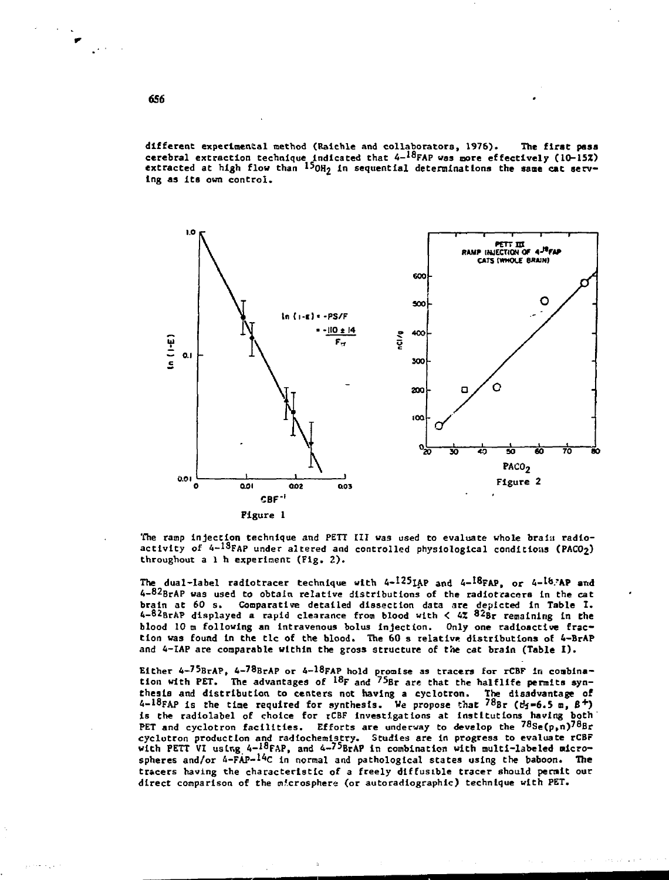**different experimental method (Ralchle and collaborators, 1976). The first pass cerebral extraction technique Indicated that 4-<sup>18</sup>FAP was more effectively (10-155!) extracted at high flow than I5OH2 In sequential determinations the same cat serving as Its own control.**



The ramp injection technique *and* PETT III was used to evaluate whole brain radioactivity of 4-<sup>13</sup>FAP under altered and controlled physiological conditions (PACO<sub>2</sub>) throughout a 1 h experiment (Fig.  $2$ ).

The dual-label radiotracer technique with 4-<sup>125</sup>IAP and 4-<sup>18</sup>FAP, or 4-<sup>18</sup>/AP an*i* 4-82BrAP was used to obtain relative distributions of the radiotracers in the cat brain at 60 s. Comparative detailed dissection data are depicted In Table I. 4-82erAP displayed a rapid clearance from blood with < 4Z 82ur remaining In **the** blood 10 m following an intravenous bolus injection. Only one radioactive fraction was found in the tlc of the blood. The  $60$  s relative distributions of 4-BrAP and 4-IAP are comparable within the gross structure of the cat brain **(Table** I) .

Either 4-75BrAP, 4-<sup>78</sup>BrAP or 4-18FAP hold promise as tracers for rCBF in conblnation with PET. The advantages of  $^{18}$ F and  $^{75}$ Br are that the halflife permits synthesis and distribution to centers not having a cyclotron. The disadvantage of  $4-18$ FAP is the time required for synthesis. We propose that  $78$ Br ( $t_2=6.5$  m,  $\beta$ <sup>+</sup>) is the radiolabel of choice for rCBF Investigations at Institutions having both PET and cyclotron facilities. Efforts are underway to develop the  $78$ Se(p,n)78Br cyclotron production and radlochemistry. Studies are In progress to evaluate rCBr with PETT VI using 4-I8FAP, and 4-7<sup>5</sup>BrAP in combination with multi-labeled microspheres and/or 4-FAP-<sup>14</sup>C in normal and pathological states using the baboon. The tracers having the characteristic of a freely diffusible tracer should permit our direct comparison of the microsphere (or autoradiographic) technique with PET.